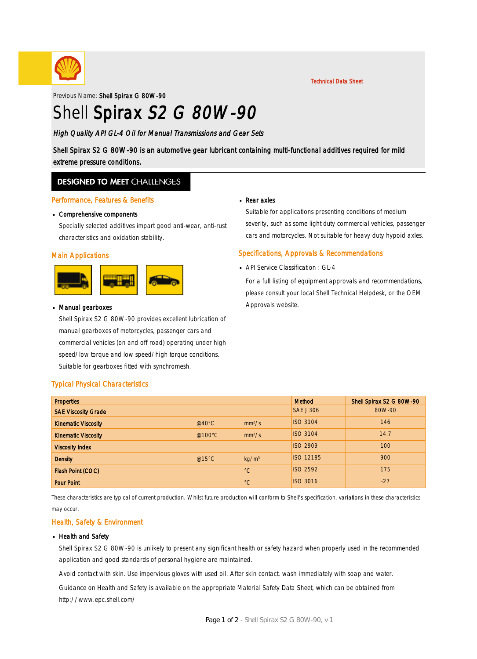

Technical Data Sheet

Previous Name: Shell Spirax G 80W-90

# Shell Spirax S2 G 80W-90

### High Quality API GL-4 Oil for Manual Transmissions and Gear Sets

Shell Spirax S2 G 80W-90 is an automotive gear lubricant containing multi-functional additives required for mild extreme pressure conditions.

### **DESIGNED TO MEET CHALLENGES**

#### Performance, Features & Benefits

# Comprehensive components ·

Specially selected additives impart good anti-wear, anti-rust characteristics and oxidation stability.

#### Main Applications



# Manual gearboxes ·

Shell Spirax S2 G 80W-90 provides excellent lubrication of manual gearboxes of motorcycles, passenger cars and commercial vehicles (on and off road) operating under high speed/low torque and low speed/high torque conditions. Suitable for gearboxes fitted with synchromesh.

# ■ Rear axles

Suitable for applications presenting conditions of medium severity, such as some light duty commercial vehicles, passenger cars and motorcycles. Not suitable for heavy duty hypoid axles.

### Specifications, Approvals & Recommendations

**API Service Classification : GL-4** 

For a full listing of equipment approvals and recommendations, please consult your local Shell Technical Helpdesk, or the OEM Approvals website.

### Typical Physical Characteristics

| <b>Properties</b>          |                  |                    | Method           | Shell Spirax S2 G 80W-90 |
|----------------------------|------------------|--------------------|------------------|--------------------------|
| <b>SAE Viscosity Grade</b> |                  |                    | <b>SAE J 306</b> | 80W-90                   |
| <b>Kinematic Viscosity</b> | @40 $^{\circ}$ C | mm <sup>2</sup> /s | <b>ISO 3104</b>  | 146                      |
| <b>Kinematic Viscosity</b> | @100 $\degree$ C | mm <sup>2</sup> /s | <b>ISO 3104</b>  | 14.7                     |
| <b>Viscosity Index</b>     |                  |                    | <b>ISO 2909</b>  | 100                      |
| <b>Density</b>             | @15 $°C$         | kg/m <sup>3</sup>  | <b>ISO 12185</b> | 900                      |
| Flash Point (COC)          |                  | $^{\circ}C$        | <b>ISO 2592</b>  | 175                      |
| <b>Pour Point</b>          |                  | $^{\circ}C$        | <b>ISO 3016</b>  | $-27$                    |

These characteristics are typical of current production. Whilst future production will conform to Shell's specification, variations in these characteristics may occur.

### Health, Safety & Environment

#### **Health and Safety**

Shell Spirax S2 G 80W-90 is unlikely to present any significant health or safety hazard when properly used in the recommended application and good standards of personal hygiene are maintained.

Avoid contact with skin. Use impervious gloves with used oil. After skin contact, wash immediately with soap and water.

Guidance on Health and Safety is available on the appropriate Material Safety Data Sheet, which can be obtained from http://www.epc.shell.com/